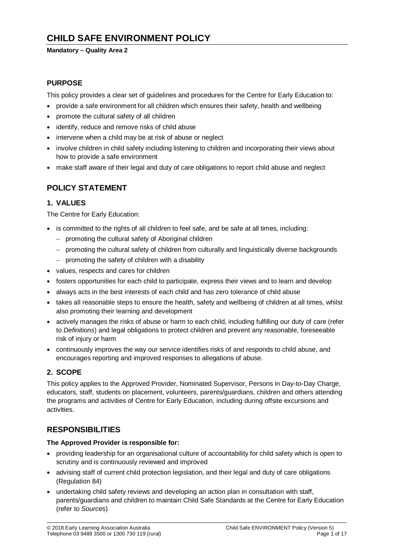# **CHILD SAFE ENVIRONMENT POLICY**

#### **Mandatory – Quality Area 2**

### **PURPOSE**

This policy provides a clear set of guidelines and procedures for the Centre for Early Education to:

- provide a safe environment for all children which ensures their safety, health and wellbeing
- promote the cultural safety of all children
- identify, reduce and remove risks of child abuse
- intervene when a child may be at risk of abuse or neglect
- involve children in child safety including listening to children and incorporating their views about how to provide a safe environment
- make staff aware of their legal and duty of care obligations to report child abuse and neglect

### **POLICY STATEMENT**

#### **1. VALUES**

The Centre for Early Education:

- is committed to the rights of all children to feel safe, and be safe at all times, including:
	- − promoting the cultural safety of Aboriginal children
	- − promoting the cultural safety of children from culturally and linguistically diverse backgrounds
	- − promoting the safety of children with a disability
- values, respects and cares for children
- fosters opportunities for each child to participate, express their views and to learn and develop
- always acts in the best interests of each child and has zero tolerance of child abuse
- takes all reasonable steps to ensure the health, safety and wellbeing of children at all times, whilst also promoting their learning and development
- actively manages the risks of abuse or harm to each child, including fulfilling our duty of care (refer to *Definitions*) and legal obligations to protect children and prevent any reasonable, foreseeable risk of injury or harm
- continuously improves the way our service identifies risks of and responds to child abuse, and encourages reporting and improved responses to allegations of abuse.

### **2. SCOPE**

This policy applies to the Approved Provider, Nominated Supervisor, Persons in Day-to-Day Charge, educators, staff, students on placement, volunteers, parents/guardians, children and others attending the programs and activities of Centre for Early Education, including during offsite excursions and activities.

### **RESPONSIBILITIES**

#### **The Approved Provider is responsible for:**

- providing leadership for an organisational culture of accountability for child safety which is open to scrutiny and is continuously reviewed and improved
- advising staff of current child protection legislation, and their legal and duty of care obligations (Regulation 84)
- undertaking child safety reviews and developing an action plan in consultation with staff, parents/guardians and children to maintain Child Safe Standards at the Centre for Early Education (refer to *Sources*)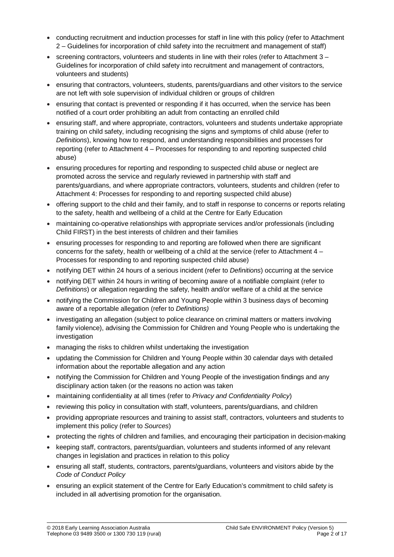- conducting recruitment and induction processes for staff in line with this policy (refer to Attachment 2 – Guidelines for incorporation of child safety into the recruitment and management of staff)
- screening contractors, volunteers and students in line with their roles (refer to Attachment  $3 -$ Guidelines for incorporation of child safety into recruitment and management of contractors, volunteers and students)
- ensuring that contractors, volunteers, students, parents/guardians and other visitors to the service are not left with sole supervision of individual children or groups of children
- ensuring that contact is prevented or responding if it has occurred, when the service has been notified of a court order prohibiting an adult from contacting an enrolled child
- ensuring staff, and where appropriate, contractors, volunteers and students undertake appropriate training on child safety, including recognising the signs and symptoms of child abuse (refer to *Definitions*), knowing how to respond, and understanding responsibilities and processes for reporting (refer to Attachment 4 – Processes for responding to and reporting suspected child abuse)
- ensuring procedures for reporting and responding to suspected child abuse or neglect are promoted across the service and regularly reviewed in partnership with staff and parents/guardians, and where appropriate contractors, volunteers, students and children (refer to Attachment 4: Processes for responding to and reporting suspected child abuse)
- offering support to the child and their family, and to staff in response to concerns or reports relating to the safety, health and wellbeing of a child at the Centre for Early Education
- maintaining co-operative relationships with appropriate services and/or professionals (including Child FIRST) in the best interests of children and their families
- ensuring processes for responding to and reporting are followed when there are significant concerns for the safety, health or wellbeing of a child at the service (refer to Attachment 4 – Processes for responding to and reporting suspected child abuse)
- notifying DET within 24 hours of a serious incident (refer to *Definitions*) occurring at the service
- notifying DET within 24 hours in writing of becoming aware of a notifiable complaint (refer to *Definitions*) or allegation regarding the safety, health and/or welfare of a child at the service
- notifying the Commission for Children and Young People within 3 business days of becoming aware of a reportable allegation (refer to *Definitions)*
- investigating an allegation (subject to police clearance on criminal matters or matters involving family violence), advising the Commission for Children and Young People who is undertaking the investigation
- managing the risks to children whilst undertaking the investigation
- updating the Commission for Children and Young People within 30 calendar days with detailed information about the reportable allegation and any action
- notifying the Commission for Children and Young People of the investigation findings and any disciplinary action taken (or the reasons no action was taken
- maintaining confidentiality at all times (refer to *Privacy and Confidentiality Policy*)
- reviewing this policy in consultation with staff, volunteers, parents/guardians, and children
- providing appropriate resources and training to assist staff, contractors, volunteers and students to implement this policy (refer to *Sources*)
- protecting the rights of children and families, and encouraging their participation in decision-making
- keeping staff, contractors, parents/guardian, volunteers and students informed of any relevant changes in legislation and practices in relation to this policy
- ensuring all staff, students, contractors, parents/guardians, volunteers and visitors abide by the *Code of Conduct Policy*
- ensuring an explicit statement of the Centre for Early Education's commitment to child safety is included in all advertising promotion for the organisation.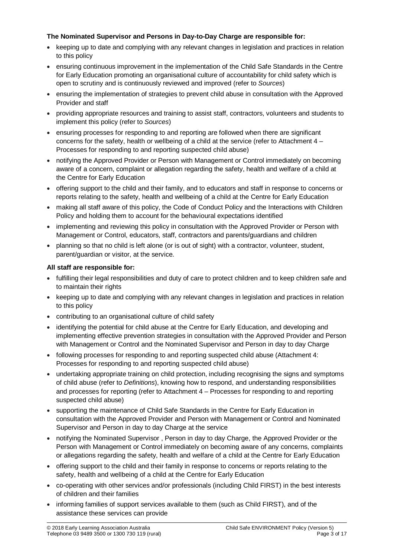### **The Nominated Supervisor and Persons in Day-to-Day Charge are responsible for:**

- keeping up to date and complying with any relevant changes in legislation and practices in relation to this policy
- ensuring continuous improvement in the implementation of the Child Safe Standards in the Centre for Early Education promoting an organisational culture of accountability for child safety which is open to scrutiny and is continuously reviewed and improved (refer to *Sources*)
- ensuring the implementation of strategies to prevent child abuse in consultation with the Approved Provider and staff
- providing appropriate resources and training to assist staff, contractors, volunteers and students to implement this policy (refer to *Sources*)
- ensuring processes for responding to and reporting are followed when there are significant concerns for the safety, health or wellbeing of a child at the service (refer to Attachment 4 – Processes for responding to and reporting suspected child abuse)
- notifying the Approved Provider or Person with Management or Control immediately on becoming aware of a concern, complaint or allegation regarding the safety, health and welfare of a child at the Centre for Early Education
- offering support to the child and their family, and to educators and staff in response to concerns or reports relating to the safety, health and wellbeing of a child at the Centre for Early Education
- making all staff aware of this policy, the Code of Conduct Policy and the Interactions with Children Policy and holding them to account for the behavioural expectations identified
- implementing and reviewing this policy in consultation with the Approved Provider or Person with Management or Control, educators, staff, contractors and parents/guardians and children
- planning so that no child is left alone (or is out of sight) with a contractor, volunteer, student, parent/guardian or visitor, at the service.

### **All staff are responsible for:**

- fulfilling their legal responsibilities and duty of care to protect children and to keep children safe and to maintain their rights
- keeping up to date and complying with any relevant changes in legislation and practices in relation to this policy
- contributing to an organisational culture of child safety
- identifying the potential for child abuse at the Centre for Early Education, and developing and implementing effective prevention strategies in consultation with the Approved Provider and Person with Management or Control and the Nominated Supervisor and Person in day to day Charge
- following processes for responding to and reporting suspected child abuse (Attachment 4: Processes for responding to and reporting suspected child abuse)
- undertaking appropriate training on child protection, including recognising the signs and symptoms of child abuse (refer to *Definitions*), knowing how to respond, and understanding responsibilities and processes for reporting (refer to Attachment 4 – Processes for responding to and reporting suspected child abuse)
- supporting the maintenance of Child Safe Standards in the Centre for Early Education in consultation with the Approved Provider and Person with Management or Control and Nominated Supervisor and Person in day to day Charge at the service
- notifying the Nominated Supervisor , Person in day to day Charge, the Approved Provider or the Person with Management or Control immediately on becoming aware of any concerns, complaints or allegations regarding the safety, health and welfare of a child at the Centre for Early Education
- offering support to the child and their family in response to concerns or reports relating to the safety, health and wellbeing of a child at the Centre for Early Education
- co-operating with other services and/or professionals (including Child FIRST) in the best interests of children and their families
- informing families of support services available to them (such as Child FIRST), and of the assistance these services can provide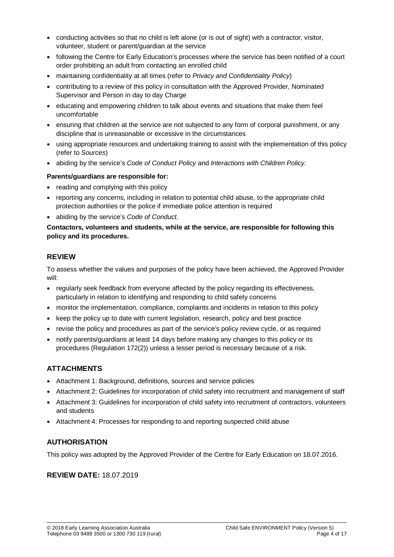- conducting activities so that no child is left alone (or is out of sight) with a contractor, visitor, volunteer, student or parent/guardian at the service
- following the Centre for Early Education's processes where the service has been notified of a court order prohibiting an adult from contacting an enrolled child
- maintaining confidentiality at all times (refer to *Privacy and Confidentiality Policy*)
- contributing to a review of this policy in consultation with the Approved Provider, Nominated Supervisor and Person in day to day Charge
- educating and empowering children to talk about events and situations that make them feel uncomfortable
- ensuring that children at the service are not subjected to any form of corporal punishment, or any discipline that is unreasonable or excessive in the circumstances
- using appropriate resources and undertaking training to assist with the implementation of this policy (refer to *Sources*)
- abiding by the service's *Code of Conduct Policy* and *Interactions with Children Policy.*

#### **Parents/guardians are responsible for:**

- reading and complying with this policy
- reporting any concerns, including in relation to potential child abuse, to the appropriate child protection authorities or the police if immediate police attention is required
- abiding by the service's *Code of Conduct.*

#### **Contactors, volunteers and students, while at the service, are responsible for following this policy and its procedures.**

### **REVIEW**

To assess whether the values and purposes of the policy have been achieved, the Approved Provider will:

- regularly seek feedback from everyone affected by the policy regarding its effectiveness, particularly in relation to identifying and responding to child safety concerns
- monitor the implementation, compliance, complaints and incidents in relation to this policy
- keep the policy up to date with current legislation, research, policy and best practice
- revise the policy and procedures as part of the service's policy review cycle, or as required
- notify parents/guardians at least 14 days before making any changes to this policy or its procedures (Regulation 172(2)) unless a lesser period is necessary because of a risk.

### **ATTACHMENTS**

- Attachment 1: Background, definitions, sources and service policies
- Attachment 2: Guidelines for incorporation of child safety into recruitment and management of staff
- Attachment 3: Guidelines for incorporation of child safety into recruitment of contractors, volunteers and students
- Attachment 4: Processes for responding to and reporting suspected child abuse

### **AUTHORISATION**

This policy was adopted by the Approved Provider of the Centre for Early Education on 18.07.2016.

### **REVIEW DATE:** 18.07.2019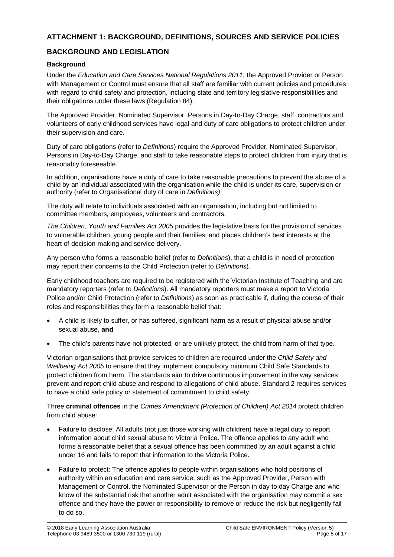### **ATTACHMENT 1: BACKGROUND, DEFINITIONS, SOURCES AND SERVICE POLICIES**

### **BACKGROUND AND LEGISLATION**

### **Background**

Under the *Education and Care Services National Regulations 2011*, the Approved Provider or Person with Management or Control must ensure that all staff are familiar with current policies and procedures with regard to child safety and protection, including state and territory legislative responsibilities and their obligations under these laws (Regulation 84).

The Approved Provider, Nominated Supervisor, Persons in Day-to-Day Charge, staff, contractors and volunteers of early childhood services have legal and duty of care obligations to protect children under their supervision and care.

Duty of care obligations (refer to *Definitions*) require the Approved Provider, Nominated Supervisor, Persons in Day-to-Day Charge, and staff to take reasonable steps to protect children from injury that is reasonably foreseeable.

In addition, organisations have a duty of care to take reasonable precautions to prevent the abuse of a child by an individual associated with the organisation while the child is under its care, supervision or authority (refer to Organisational duty of care in *Definitions)*.

The duty will relate to individuals associated with an organisation, including but not limited to committee members, employees, volunteers and contractors.

*The Children, Youth and Families Act 2005* provides the legislative basis for the provision of services to vulnerable children, young people and their families, and places children's best interests at the heart of decision-making and service delivery.

Any person who forms a reasonable belief (refer to *Definitions*), that a child is in need of protection may report their concerns to the Child Protection (refer to *Definitions*).

Early childhood teachers are required to be registered with the Victorian Institute of Teaching and are mandatory reporters (refer to *Definitions*). All mandatory reporters must make a report to Victoria Police and/or Child Protection (refer to *Definitions*) as soon as practicable if, during the course of their roles and responsibilities they form a reasonable belief that:

- A child is likely to suffer, or has suffered, significant harm as a result of physical abuse and/or sexual abuse, **and**
- The child's parents have not protected, or are unlikely protect, the child from harm of that type.

Victorian organisations that provide services to children are required under the *Child Safety and Wellbeing Act 2005* to ensure that they implement compulsory minimum Child Safe Standards to protect children from harm. The standards aim to drive continuous improvement in the way services prevent and report child abuse and respond to allegations of child abuse. Standard 2 requires services to have a child safe policy or statement of commitment to child safety.

Three **criminal offences** in the *Crimes Amendment (Protection of Children) Act 2014* protect children from child abuse:

- Failure to disclose: All adults (not just those working with children) have a legal duty to report information about child sexual abuse to Victoria Police. The offence applies to any adult who forms a reasonable belief that a sexual offence has been committed by an adult against a child under 16 and fails to report that information to the Victoria Police.
- Failure to protect: The offence applies to people within organisations who hold positions of authority within an education and care service, such as the Approved Provider, Person with Management or Control, the Nominated Supervisor or the Person in day to day Charge and who know of the substantial risk that another adult associated with the organisation may commit a sex offence and they have the power or responsibility to remove or reduce the risk but negligently fail to do so.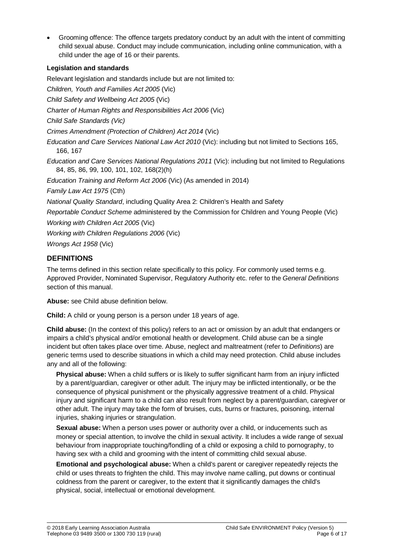• Grooming offence: The offence targets predatory conduct by an adult with the intent of committing child sexual abuse. Conduct may include communication, including online communication, with a child under the age of 16 or their parents.

### **Legislation and standards**

Relevant legislation and standards include but are not limited to:

*Children, Youth and Families Act 2005* (Vic) *Child Safety and Wellbeing Act 2005* (Vic) *Charter of Human Rights and Responsibilities Act 2006* (Vic) *Child Safe Standards (Vic) Crimes Amendment (Protection of Children) Act 2014* (Vic) *Education and Care Services National Law Act 2010* (Vic): including but not limited to Sections 165, 166, 167 *Education and Care Services National Regulations 2011* (Vic): including but not limited to Regulations 84, 85, 86, 99, 100, 101, 102, 168(2)(h) *Education Training and Reform Act 2006* (Vic) (As amended in 2014) *Family Law Act 1975* (Cth) *National Quality Standard*, including Quality Area 2: Children's Health and Safety *Reportable Conduct Scheme* administered by the Commission for Children and Young People (Vic) *Working with Children Act 2005* (Vic) *Working with Children Regulations 2006* (Vic)

*Wrongs Act 1958* (Vic)

### **DEFINITIONS**

The terms defined in this section relate specifically to this policy. For commonly used terms e.g. Approved Provider, Nominated Supervisor, Regulatory Authority etc. refer to the *General Definitions* section of this manual.

**Abuse:** see Child abuse definition below.

**Child:** A child or young person is a person under 18 years of age.

**Child abuse:** (In the context of this policy) refers to an act or omission by an adult that endangers or impairs a child's physical and/or emotional health or development. Child abuse can be a single incident but often takes place over time. Abuse, neglect and maltreatment (refer to *Definitions*) are generic terms used to describe situations in which a child may need protection. Child abuse includes any and all of the following:

**Physical abuse:** When a child suffers or is likely to suffer significant harm from an injury inflicted by a parent/guardian, caregiver or other adult. The injury may be inflicted intentionally, or be the consequence of physical punishment or the physically aggressive treatment of a child. Physical injury and significant harm to a child can also result from neglect by a parent/guardian, caregiver or other adult. The injury may take the form of bruises, cuts, burns or fractures, poisoning, internal injuries, shaking injuries or strangulation.

**Sexual abuse:** When a person uses power or authority over a child, or inducements such as money or special attention, to involve the child in sexual activity. It includes a wide range of sexual behaviour from inappropriate touching/fondling of a child or exposing a child to pornography, to having sex with a child and grooming with the intent of committing child sexual abuse.

**Emotional and psychological abuse:** When a child's parent or caregiver repeatedly rejects the child or uses threats to frighten the child. This may involve name calling, put downs or continual coldness from the parent or caregiver, to the extent that it significantly damages the child's physical, social, intellectual or emotional development.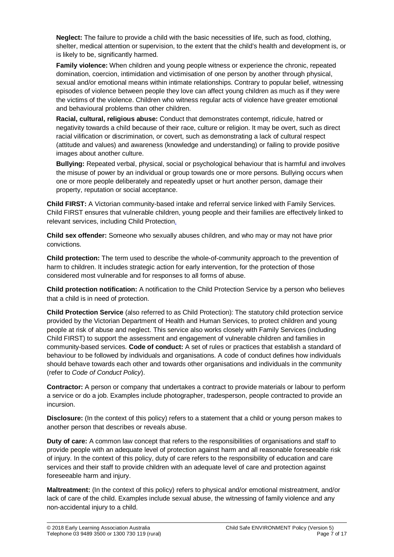**Neglect:** The failure to provide a child with the basic necessities of life, such as food, clothing, shelter, medical attention or supervision, to the extent that the child's health and development is, or is likely to be, significantly harmed.

**Family violence:** When children and young people witness or experience the chronic, repeated domination, coercion, intimidation and victimisation of one person by another through physical, sexual and/or emotional means within intimate relationships. Contrary to popular belief, witnessing episodes of violence between people they love can affect young children as much as if they were the victims of the violence. Children who witness regular acts of violence have greater emotional and behavioural problems than other children.

**Racial, cultural, religious abuse:** Conduct that demonstrates contempt, ridicule, hatred or negativity towards a child because of their race, culture or religion. It may be overt, such as direct racial vilification or discrimination, or covert, such as demonstrating a lack of cultural respect (attitude and values) and awareness (knowledge and understanding) or failing to provide positive images about another culture.

**Bullying:** Repeated verbal, physical, social or psychological behaviour that is harmful and involves the misuse of power by an individual or group towards one or more persons. Bullying occurs when one or more people deliberately and repeatedly upset or hurt another person, damage their property, reputation or social acceptance.

**Child FIRST:** A Victorian community-based intake and referral service linked with Family Services. Child FIRST ensures that vulnerable children, young people and their families are effectively linked to relevant services, including Child Protection.

**Child sex offender:** Someone who sexually abuses children, and who may or may not have prior convictions.

**Child protection:** The term used to describe the whole-of-community approach to the prevention of harm to children. It includes strategic action for early intervention, for the protection of those considered most vulnerable and for responses to all forms of abuse.

**Child protection notification:** A notification to the Child Protection Service by a person who believes that a child is in need of protection.

**Child Protection Service** (also referred to as Child Protection): The statutory child protection service provided by the Victorian Department of Health and Human Services, to protect children and young people at risk of abuse and neglect. This service also works closely with Family Services (including Child FIRST) to support the assessment and engagement of vulnerable children and families in community-based services. **Code of conduct:** A set of rules or practices that establish a standard of behaviour to be followed by individuals and organisations. A code of conduct defines how individuals should behave towards each other and towards other organisations and individuals in the community (refer to *Code of Conduct Policy*).

**Contractor:** A person or company that undertakes a contract to provide materials or labour to perform a service or do a job. Examples include photographer, tradesperson, people contracted to provide an incursion.

**Disclosure:** (In the context of this policy) refers to a statement that a child or young person makes to another person that describes or reveals abuse.

**Duty of care:** A common law concept that refers to the responsibilities of organisations and staff to provide people with an adequate level of protection against harm and all reasonable foreseeable risk of injury. In the context of this policy, duty of care refers to the responsibility of education and care services and their staff to provide children with an adequate level of care and protection against foreseeable harm and injury.

**Maltreatment:** (In the context of this policy) refers to physical and/or emotional mistreatment, and/or lack of care of the child. Examples include sexual abuse, the witnessing of family violence and any non-accidental injury to a child.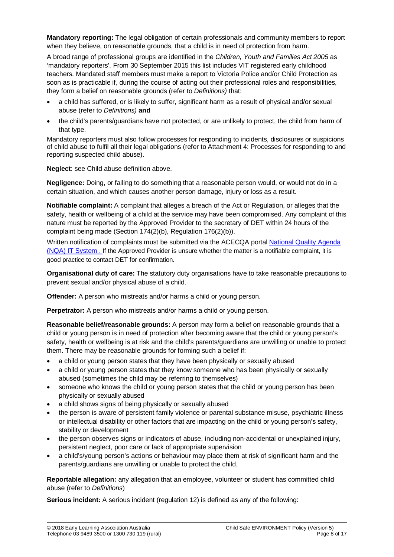**Mandatory reporting:** The legal obligation of certain professionals and community members to report when they believe, on reasonable grounds, that a child is in need of protection from harm.

A broad range of professional groups are identified in the *Children, Youth and Families Act 2005* as 'mandatory reporters'. From 30 September 2015 this list includes VIT registered early childhood teachers. Mandated staff members must make a report to Victoria Police and/or Child Protection as soon as is practicable if, during the course of acting out their professional roles and responsibilities, they form a belief on reasonable grounds (refer to *Definitions)* that:

- a child has suffered, or is likely to suffer, significant harm as a result of physical and/or sexual abuse (refer to *Definitions)* **and**
- the child's parents/guardians have not protected, or are unlikely to protect, the child from harm of that type.

Mandatory reporters must also follow processes for responding to incidents, disclosures or suspicions of child abuse to fulfil all their legal obligations (refer to Attachment 4: Processes for responding to and reporting suspected child abuse).

**Neglect**: see Child abuse definition above.

**Negligence:** Doing, or failing to do something that a reasonable person would, or would not do in a certain situation, and which causes another person damage, injury or loss as a result.

**Notifiable complaint:** A complaint that alleges a breach of the Act or Regulation, or alleges that the safety, health or wellbeing of a child at the service may have been compromised. Any complaint of this nature must be reported by the Approved Provider to the secretary of DET within 24 hours of the complaint being made (Section 174(2)(b), Regulation 176(2)(b)).

Written notification of complaints must be submitted via the ACECQA portal [National Quality Agenda](https://public.nqaits.acecqa.gov.au/Pages/Landing.aspx) (NQA) [IT System](https://public.nqaits.acecqa.gov.au/Pages/Landing.aspx) . If the Approved Provider is unsure whether the matter is a notifiable complaint, it is good practice to contact DET for confirmation.

**Organisational duty of care:** The statutory duty organisations have to take reasonable precautions to prevent sexual and/or physical abuse of a child.

**Offender:** A person who mistreats and/or harms a child or young person.

**Perpetrator:** A person who mistreats and/or harms a child or young person.

**Reasonable belief/reasonable grounds:** A person may form a belief on reasonable grounds that a child or young person is in need of protection after becoming aware that the child or young person's safety, health or wellbeing is at risk and the child's parents/guardians are unwilling or unable to protect them. There may be reasonable grounds for forming such a belief if:

- a child or young person states that they have been physically or sexually abused
- a child or young person states that they know someone who has been physically or sexually abused (sometimes the child may be referring to themselves)
- someone who knows the child or young person states that the child or young person has been physically or sexually abused
- a child shows signs of being physically or sexually abused
- the person is aware of persistent family violence or parental substance misuse, psychiatric illness or intellectual disability or other factors that are impacting on the child or young person's safety, stability or development
- the person observes signs or indicators of abuse, including non-accidental or unexplained injury, persistent neglect, poor care or lack of appropriate supervision
- a child's/young person's actions or behaviour may place them at risk of significant harm and the parents/guardians are unwilling or unable to protect the child.

**Reportable allegation:** any allegation that an employee, volunteer or student has committed child abuse (refer to *Definitions*)

**Serious incident:** A serious incident (regulation 12) is defined as any of the following: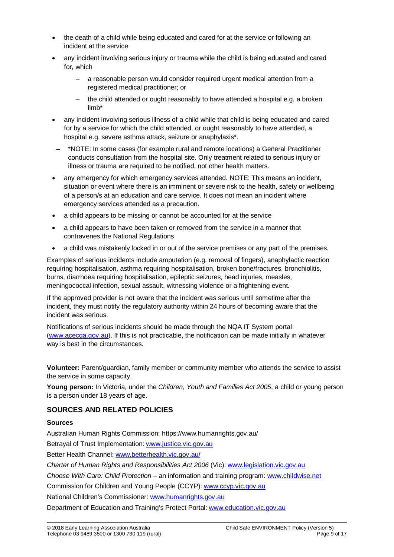- the death of a child while being educated and cared for at the service or following an incident at the service
- any incident involving serious injury or trauma while the child is being educated and cared for, which
	- a reasonable person would consider required urgent medical attention from a registered medical practitioner; or
	- the child attended or ought reasonably to have attended a hospital e.g. a broken limb\*
- any incident involving serious illness of a child while that child is being educated and cared for by a service for which the child attended, or ought reasonably to have attended, a hospital e.g. severe asthma attack, seizure or anaphylaxis\*.
- \*NOTE: In some cases (for example rural and remote locations) a General Practitioner conducts consultation from the hospital site. Only treatment related to serious injury or illness or trauma are required to be notified, not other health matters.
- any emergency for which emergency services attended. NOTE: This means an incident, situation or event where there is an imminent or severe risk to the health, safety or wellbeing of a person/s at an education and care service. It does not mean an incident where emergency services attended as a precaution.
- a child appears to be missing or cannot be accounted for at the service
- a child appears to have been taken or removed from the service in a manner that contravenes the National Regulations
- a child was mistakenly locked in or out of the service premises or any part of the premises.

Examples of serious incidents include amputation (e.g. removal of fingers), anaphylactic reaction requiring hospitalisation, asthma requiring hospitalisation, broken bone/fractures, bronchiolitis, burns, diarrhoea requiring hospitalisation, epileptic seizures, head injuries, measles, meningococcal infection, sexual assault, witnessing violence or a frightening event.

If the approved provider is not aware that the incident was serious until sometime after the incident, they must notify the regulatory authority within 24 hours of becoming aware that the incident was serious.

Notifications of serious incidents should be made through the NQA IT System portal [\(www.acecqa.gov.au\)](http://www.acecqa.gov.au/). If this is not practicable, the notification can be made initially in whatever way is best in the circumstances.

**Volunteer:** Parent/guardian, family member or community member who attends the service to assist the service in some capacity.

**Young person:** In Victoria, under the *Children, Youth and Families Act 2005*, a child or young person is a person under 18 years of age.

### **SOURCES AND RELATED POLICIES**

#### **Sources**

Australian Human Rights Commission: https://www.humanrights.gov.au/

Betrayal of Trust Implementation: [www.justice.vic.gov.au](http://www.justice.vic.gov.au/)

Better Health Channel: [www.betterhealth.vic.gov.au/](file://kpv-sbs/data/BD&G/Communications/Publications/Policy%20Works/2018%20Final%20PolicyWorks/www.betterhealth.vic.gov.au/)

*Charter of Human Rights and Responsibilities Act 2006* (Vic): [www.legislation.vic.gov.au](file://kpv-sbs/data/BD&G/Communications/Publications/Policy%20Works/2018%20Final%20PolicyWorks/www.legislation.vic.gov.au)

*Choose With Care: Child Protection* – an information and training program: [www.childwise.net](http://www.childwise.net/)

Commission for Children and Young People (CCYP): [www.ccyp.vic.gov.au](file://kpv-sbs/data/BD&G/Communications/Publications/Policy%20Works/2018%20Final%20PolicyWorks/www.ccyp.vic.gov.au)

National Children's Commissioner: [www.humanrights.gov.au](http://www.humanrights.gov.au/)

Department of Education and Training's Protect Portal: [www.education.vic.gov.au](http://www.education.vic.gov.au/Pages/default.aspx)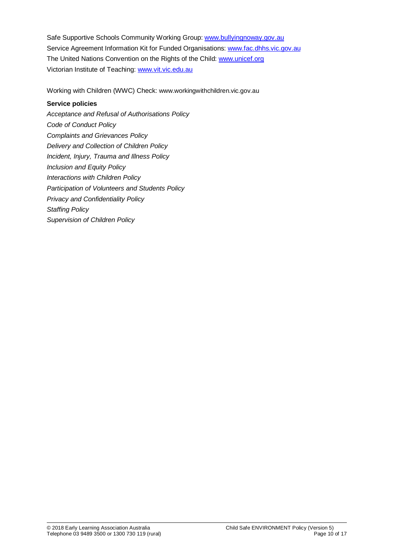Safe Supportive Schools Community Working Group: [www.bullyingnoway.gov.au](file://kpv-sbs/data/BD&G/Communications/Publications/Policy%20Works/2018%20Final%20PolicyWorks/www.bullyingnoway.gov.au) Service Agreement Information Kit for Funded Organisations: [www.fac.dhhs.vic.gov.au](http://www.fac.dhhs.vic.gov.au/) The United Nations Convention on the Rights of the Child: [www.unicef.org](https://www.unicef.org/) Victorian Institute of Teaching: [www.vit.vic.edu.au](http://www.vit.vic.edu.au/)

Working with Children (WWC) Check: www.workingwithchildren.vic.gov.au

### **Service policies**

*Acceptance and Refusal of Authorisations Policy Code of Conduct Policy Complaints and Grievances Policy Delivery and Collection of Children Policy Incident, Injury, Trauma and Illness Policy Inclusion and Equity Policy Interactions with Children Policy Participation of Volunteers and Students Policy Privacy and Confidentiality Policy Staffing Policy Supervision of Children Policy*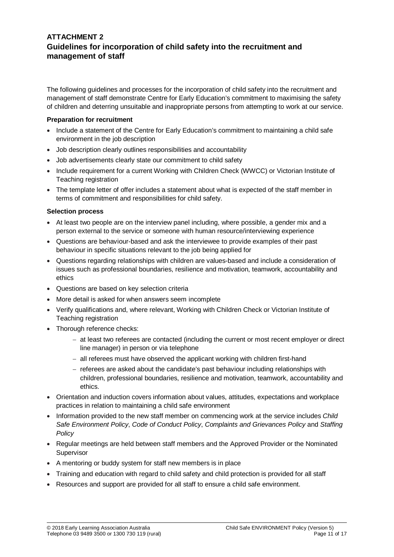### **ATTACHMENT 2 Guidelines for incorporation of child safety into the recruitment and management of staff**

The following guidelines and processes for the incorporation of child safety into the recruitment and management of staff demonstrate Centre for Early Education's commitment to maximising the safety of children and deterring unsuitable and inappropriate persons from attempting to work at our service.

#### **Preparation for recruitment**

- Include a statement of the Centre for Early Education's commitment to maintaining a child safe environment in the job description
- Job description clearly outlines responsibilities and accountability
- Job advertisements clearly state our commitment to child safety
- Include requirement for a current Working with Children Check (WWCC) or Victorian Institute of Teaching registration
- The template letter of offer includes a statement about what is expected of the staff member in terms of commitment and responsibilities for child safety.

#### **Selection process**

- At least two people are on the interview panel including, where possible, a gender mix and a person external to the service or someone with human resource/interviewing experience
- Questions are behaviour-based and ask the interviewee to provide examples of their past behaviour in specific situations relevant to the job being applied for
- Questions regarding relationships with children are values-based and include a consideration of issues such as professional boundaries, resilience and motivation, teamwork, accountability and ethics
- Questions are based on key selection criteria
- More detail is asked for when answers seem incomplete
- Verify qualifications and, where relevant, Working with Children Check or Victorian Institute of Teaching registration
- Thorough reference checks:
	- − at least two referees are contacted (including the current or most recent employer or direct line manager) in person or via telephone
	- − all referees must have observed the applicant working with children first-hand
	- − referees are asked about the candidate's past behaviour including relationships with children, professional boundaries, resilience and motivation, teamwork, accountability and ethics.
- Orientation and induction covers information about values, attitudes, expectations and workplace practices in relation to maintaining a child safe environment
- Information provided to the new staff member on commencing work at the service includes *Child Safe Environment Policy*, *Code of Conduct Policy*, *Complaints and Grievances Policy* and *Staffing Policy*
- Regular meetings are held between staff members and the Approved Provider or the Nominated Supervisor
- A mentoring or buddy system for staff new members is in place
- Training and education with regard to child safety and child protection is provided for all staff
- Resources and support are provided for all staff to ensure a child safe environment.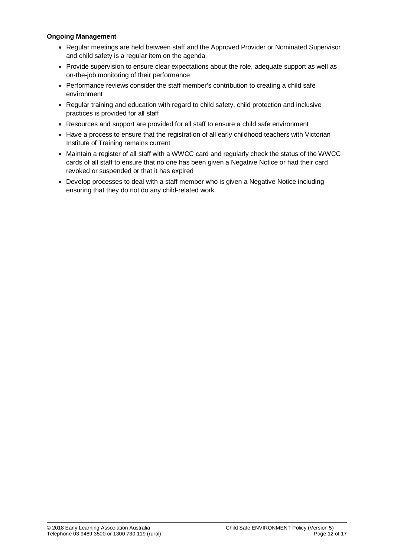#### **Ongoing Management**

- Regular meetings are held between staff and the Approved Provider or Nominated Supervisor and child safety is a regular item on the agenda
- Provide supervision to ensure clear expectations about the role, adequate support as well as on-the-job monitoring of their performance
- Performance reviews consider the staff member's contribution to creating a child safe environment
- Regular training and education with regard to child safety, child protection and inclusive practices is provided for all staff
- Resources and support are provided for all staff to ensure a child safe environment
- Have a process to ensure that the registration of all early childhood teachers with Victorian Institute of Training remains current
- Maintain a register of all staff with a WWCC card and regularly check the status of the WWCC cards of all staff to ensure that no one has been given a Negative Notice or had their card revoked or suspended or that it has expired
- Develop processes to deal with a staff member who is given a Negative Notice including ensuring that they do not do any child-related work.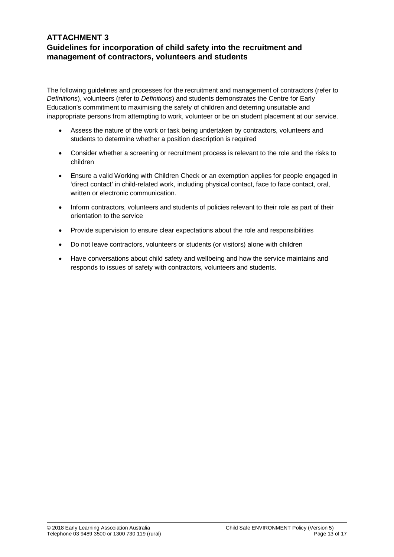### **ATTACHMENT 3 Guidelines for incorporation of child safety into the recruitment and management of contractors, volunteers and students**

The following guidelines and processes for the recruitment and management of contractors (refer to *Definitions*), volunteers (refer to *Definitions*) and students demonstrates the Centre for Early Education's commitment to maximising the safety of children and deterring unsuitable and inappropriate persons from attempting to work, volunteer or be on student placement at our service.

- Assess the nature of the work or task being undertaken by contractors, volunteers and students to determine whether a position description is required
- Consider whether a screening or recruitment process is relevant to the role and the risks to children
- Ensure a valid Working with Children Check or an exemption applies for people engaged in 'direct contact' in child-related work, including physical contact, face to face contact, oral, written or electronic communication.
- Inform contractors, volunteers and students of policies relevant to their role as part of their orientation to the service
- Provide supervision to ensure clear expectations about the role and responsibilities
- Do not leave contractors, volunteers or students (or visitors) alone with children
- Have conversations about child safety and wellbeing and how the service maintains and responds to issues of safety with contractors, volunteers and students.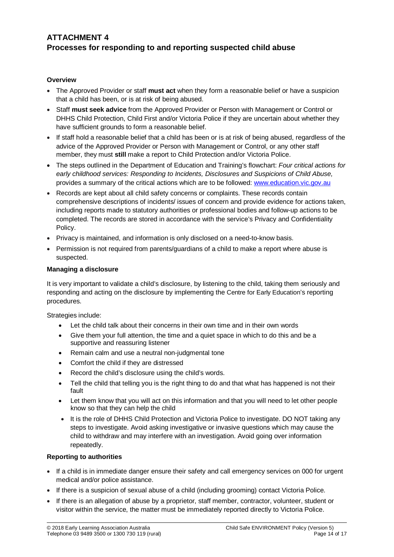## **ATTACHMENT 4 Processes for responding to and reporting suspected child abuse**

#### **Overview**

- The Approved Provider or staff **must act** when they form a reasonable belief or have a suspicion that a child has been, or is at risk of being abused.
- Staff **must seek advice** from the Approved Provider or Person with Management or Control or DHHS Child Protection, Child First and/or Victoria Police if they are uncertain about whether they have sufficient grounds to form a reasonable belief.
- If staff hold a reasonable belief that a child has been or is at risk of being abused, regardless of the advice of the Approved Provider or Person with Management or Control, or any other staff member, they must **still** make a report to Child Protection and/or Victoria Police.
- The steps outlined in the Department of Education and Training's flowchart: *Four critical actions for early childhood services: Responding to Incidents, Disclosures and Suspicions of Child Abuse,*  provides a summary of the critical actions which are to be followed: [www.education.vic.gov.au](http://www.education.vic.gov.au/Pages/default.aspx)
- Records are kept about all child safety concerns or complaints. These records contain comprehensive descriptions of incidents/ issues of concern and provide evidence for actions taken, including reports made to statutory authorities or professional bodies and follow-up actions to be completed. The records are stored in accordance with the service's Privacy and Confidentiality Policy.
- Privacy is maintained, and information is only disclosed on a need-to-know basis.
- Permission is not required from parents/guardians of a child to make a report where abuse is suspected.

### **Managing a disclosure**

It is very important to validate a child's disclosure, by listening to the child, taking them seriously and responding and acting on the disclosure by implementing the Centre for Early Education's reporting procedures.

Strategies include:

- Let the child talk about their concerns in their own time and in their own words
- Give them your full attention, the time and a quiet space in which to do this and be a supportive and reassuring listener
- Remain calm and use a neutral non-judgmental tone
- Comfort the child if they are distressed
- Record the child's disclosure using the child's words.
- Tell the child that telling you is the right thing to do and that what has happened is not their fault
- Let them know that you will act on this information and that you will need to let other people know so that they can help the child
- It is the role of DHHS Child Protection and Victoria Police to investigate. DO NOT taking any steps to investigate. Avoid asking investigative or invasive questions which may cause the child to withdraw and may interfere with an investigation. Avoid going over information repeatedly.

#### **Reporting to authorities**

- If a child is in immediate danger ensure their safety and call emergency services on 000 for urgent medical and/or police assistance.
- If there is a suspicion of sexual abuse of a child (including grooming) contact Victoria Police.
- If there is an allegation of abuse by a proprietor, staff member, contractor, volunteer, student or visitor within the service, the matter must be immediately reported directly to Victoria Police.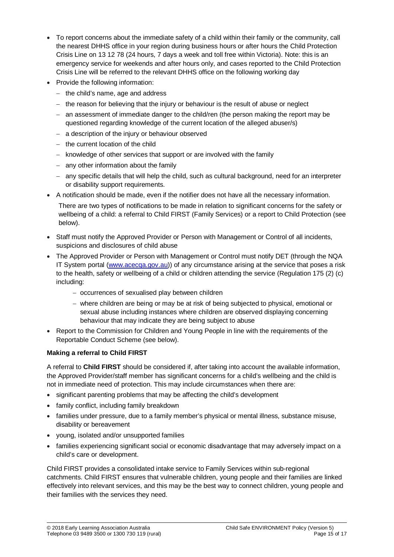- To report concerns about the immediate safety of a child within their family or the community, call the nearest DHHS office in your region during business hours or after hours the Child Protection Crisis Line on 13 12 78 (24 hours, 7 days a week and toll free within Victoria). Note: this is an emergency service for weekends and after hours only, and cases reported to the Child Protection Crisis Line will be referred to the relevant DHHS office on the following working day
- Provide the following information:
	- − the child's name, age and address
	- − the reason for believing that the injury or behaviour is the result of abuse or neglect
	- − an assessment of immediate danger to the child/ren (the person making the report may be questioned regarding knowledge of the current location of the alleged abuser/s)
	- − a description of the injury or behaviour observed
	- − the current location of the child
	- − knowledge of other services that support or are involved with the family
	- − any other information about the family
	- − any specific details that will help the child, such as cultural background, need for an interpreter or disability support requirements.
- A notification should be made, even if the notifier does not have all the necessary information. There are two types of notifications to be made in relation to significant concerns for the safety or wellbeing of a child: a referral to Child FIRST (Family Services) or a report to Child Protection (see below).
- Staff must notify the Approved Provider or Person with Management or Control of all incidents, suspicions and disclosures of child abuse
- The Approved Provider or Person with Management or Control must notify DET (through the NQA IT System portal [\(www.acecqa.gov.au\)](http://www.acecqa.gov.au/)) of any circumstance arising at the service that poses a risk to the health, safety or wellbeing of a child or children attending the service (Regulation 175 (2) (c) including:
	- − occurrences of sexualised play between children
	- − where children are being or may be at risk of being subjected to physical, emotional or sexual abuse including instances where children are observed displaying concerning behaviour that may indicate they are being subject to abuse
- Report to the Commission for Children and Young People in line with the requirements of the Reportable Conduct Scheme (see below).

#### **Making a referral to Child FIRST**

A referral to **Child FIRST** should be considered if, after taking into account the available information, the Approved Provider/staff member has significant concerns for a child's wellbeing and the child is not in immediate need of protection. This may include circumstances when there are:

- significant parenting problems that may be affecting the child's development
- family conflict, including family breakdown
- families under pressure, due to a family member's physical or mental illness, substance misuse, disability or bereavement
- young, isolated and/or unsupported families
- families experiencing significant social or economic disadvantage that may adversely impact on a child's care or development.

Child FIRST provides a consolidated intake service to Family Services within sub-regional catchments. Child FIRST ensures that vulnerable children, young people and their families are linked effectively into relevant services, and this may be the best way to connect children, young people and their families with the services they need.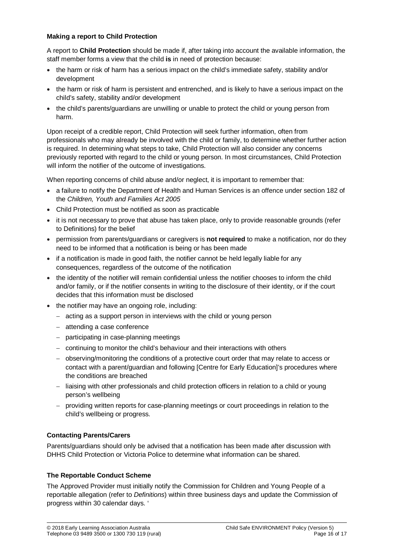#### **Making a report to Child Protection**

A report to **Child Protection** should be made if, after taking into account the available information, the staff member forms a view that the child **is** in need of protection because:

- the harm or risk of harm has a serious impact on the child's immediate safety, stability and/or development
- the harm or risk of harm is persistent and entrenched, and is likely to have a serious impact on the child's safety, stability and/or development
- the child's parents/guardians are unwilling or unable to protect the child or young person from harm.

Upon receipt of a credible report, Child Protection will seek further information, often from professionals who may already be involved with the child or family, to determine whether further action is required. In determining what steps to take, Child Protection will also consider any concerns previously reported with regard to the child or young person. In most circumstances, Child Protection will inform the notifier of the outcome of investigations.

When reporting concerns of child abuse and/or neglect, it is important to remember that:

- a failure to notify the Department of Health and Human Services is an offence under section 182 of the *Children, Youth and Families Act 2005*
- Child Protection must be notified as soon as practicable
- it is not necessary to prove that abuse has taken place, only to provide reasonable grounds (refer to Definitions) for the belief
- permission from parents/guardians or caregivers is **not required** to make a notification, nor do they need to be informed that a notification is being or has been made
- if a notification is made in good faith, the notifier cannot be held legally liable for any consequences, regardless of the outcome of the notification
- the identity of the notifier will remain confidential unless the notifier chooses to inform the child and/or family, or if the notifier consents in writing to the disclosure of their identity, or if the court decides that this information must be disclosed
- the notifier may have an ongoing role, including:
	- − acting as a support person in interviews with the child or young person
	- − attending a case conference
	- − participating in case-planning meetings
	- − continuing to monitor the child's behaviour and their interactions with others
	- − observing/monitoring the conditions of a protective court order that may relate to access or contact with a parent/guardian and following [Centre for Early Education]'s procedures where the conditions are breached
	- − liaising with other professionals and child protection officers in relation to a child or young person's wellbeing
	- − providing written reports for case-planning meetings or court proceedings in relation to the child's wellbeing or progress.

#### **Contacting Parents/Carers**

Parents/guardians should only be advised that a notification has been made after discussion with DHHS Child Protection or Victoria Police to determine what information can be shared.

#### **The Reportable Conduct Scheme**

The Approved Provider must initially notify the Commission for Children and Young People of a reportable allegation (refer to *Definitions*) within three business days and update the Commission of progress within 30 calendar days. '